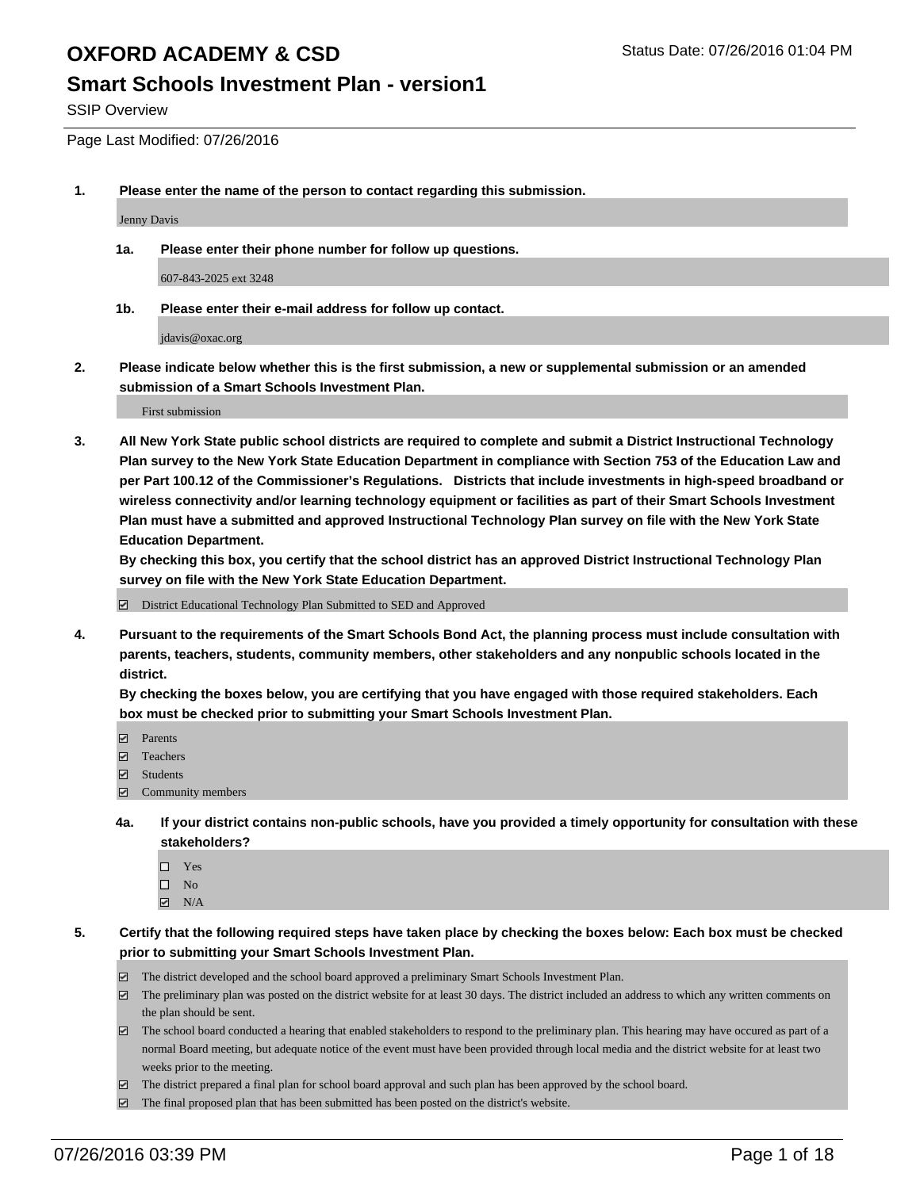### **Smart Schools Investment Plan - version1**

SSIP Overview

Page Last Modified: 07/26/2016

**1. Please enter the name of the person to contact regarding this submission.**

Jenny Davis

**1a. Please enter their phone number for follow up questions.**

607-843-2025 ext 3248

**1b. Please enter their e-mail address for follow up contact.**

jdavis@oxac.org

**2. Please indicate below whether this is the first submission, a new or supplemental submission or an amended submission of a Smart Schools Investment Plan.**

First submission

**3. All New York State public school districts are required to complete and submit a District Instructional Technology Plan survey to the New York State Education Department in compliance with Section 753 of the Education Law and per Part 100.12 of the Commissioner's Regulations. Districts that include investments in high-speed broadband or wireless connectivity and/or learning technology equipment or facilities as part of their Smart Schools Investment Plan must have a submitted and approved Instructional Technology Plan survey on file with the New York State Education Department.** 

**By checking this box, you certify that the school district has an approved District Instructional Technology Plan survey on file with the New York State Education Department.**

District Educational Technology Plan Submitted to SED and Approved

**4. Pursuant to the requirements of the Smart Schools Bond Act, the planning process must include consultation with parents, teachers, students, community members, other stakeholders and any nonpublic schools located in the district.** 

**By checking the boxes below, you are certifying that you have engaged with those required stakeholders. Each box must be checked prior to submitting your Smart Schools Investment Plan.**

- **Parents**
- Teachers
- $\blacksquare$  Students
- Community members
- **4a. If your district contains non-public schools, have you provided a timely opportunity for consultation with these stakeholders?**
	- $\Box$  Yes  $\square$  No
	- $\boxtimes$  N/A
- **5. Certify that the following required steps have taken place by checking the boxes below: Each box must be checked prior to submitting your Smart Schools Investment Plan.**
	- The district developed and the school board approved a preliminary Smart Schools Investment Plan.
	- $\Box$  The preliminary plan was posted on the district website for at least 30 days. The district included an address to which any written comments on the plan should be sent.
	- $\Box$  The school board conducted a hearing that enabled stakeholders to respond to the preliminary plan. This hearing may have occured as part of a normal Board meeting, but adequate notice of the event must have been provided through local media and the district website for at least two weeks prior to the meeting.
	- The district prepared a final plan for school board approval and such plan has been approved by the school board.
	- $\boxdot$  The final proposed plan that has been submitted has been posted on the district's website.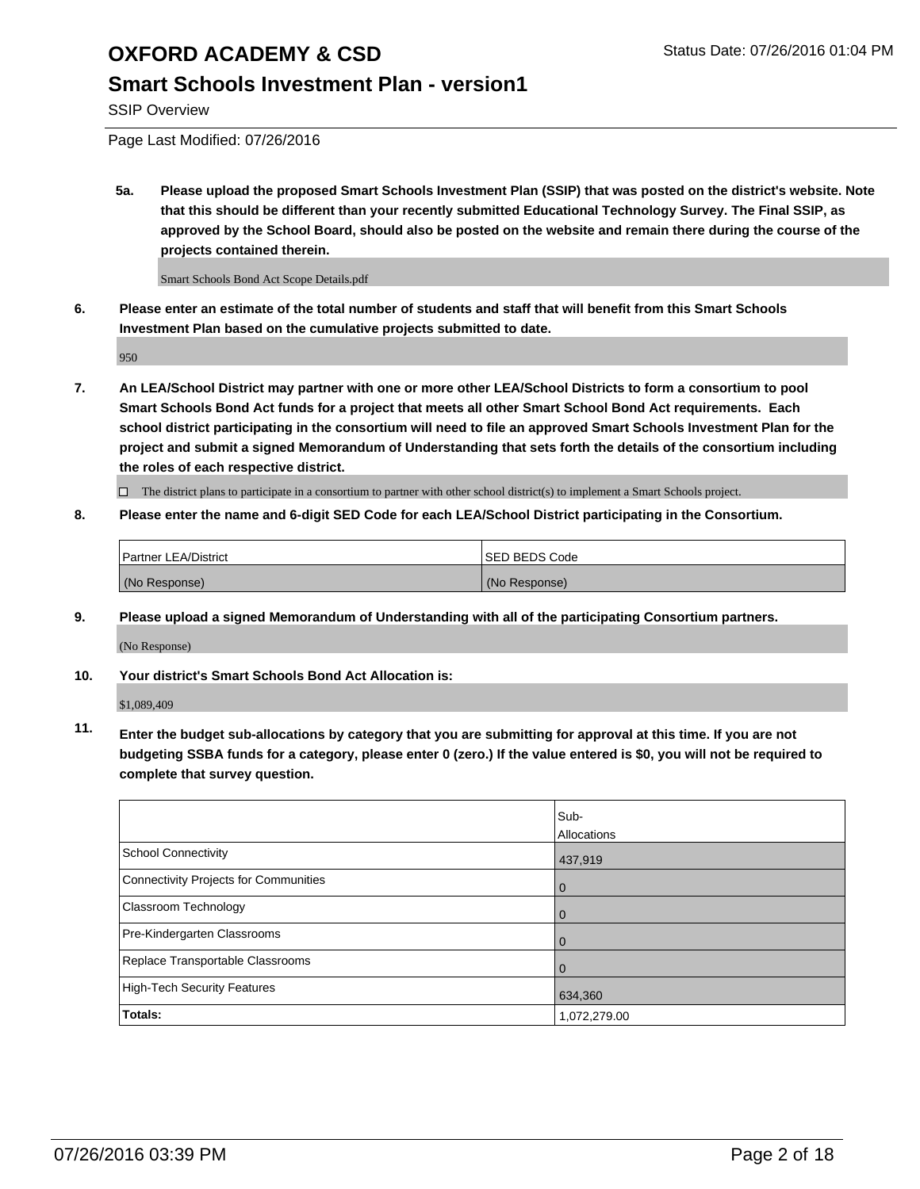### **Smart Schools Investment Plan - version1**

SSIP Overview

Page Last Modified: 07/26/2016

**5a. Please upload the proposed Smart Schools Investment Plan (SSIP) that was posted on the district's website. Note that this should be different than your recently submitted Educational Technology Survey. The Final SSIP, as approved by the School Board, should also be posted on the website and remain there during the course of the projects contained therein.**

Smart Schools Bond Act Scope Details.pdf

**6. Please enter an estimate of the total number of students and staff that will benefit from this Smart Schools Investment Plan based on the cumulative projects submitted to date.**

950

**7. An LEA/School District may partner with one or more other LEA/School Districts to form a consortium to pool Smart Schools Bond Act funds for a project that meets all other Smart School Bond Act requirements. Each school district participating in the consortium will need to file an approved Smart Schools Investment Plan for the project and submit a signed Memorandum of Understanding that sets forth the details of the consortium including the roles of each respective district.**

 $\Box$  The district plans to participate in a consortium to partner with other school district(s) to implement a Smart Schools project.

**8. Please enter the name and 6-digit SED Code for each LEA/School District participating in the Consortium.**

| <b>Partner LEA/District</b> | ISED BEDS Code |
|-----------------------------|----------------|
| (No Response)               | (No Response)  |

**9. Please upload a signed Memorandum of Understanding with all of the participating Consortium partners.**

(No Response)

**10. Your district's Smart Schools Bond Act Allocation is:**

\$1,089,409

**11. Enter the budget sub-allocations by category that you are submitting for approval at this time. If you are not budgeting SSBA funds for a category, please enter 0 (zero.) If the value entered is \$0, you will not be required to complete that survey question.**

|                                       | Sub-         |
|---------------------------------------|--------------|
|                                       | Allocations  |
| School Connectivity                   | 437,919      |
| Connectivity Projects for Communities | 0            |
| Classroom Technology                  | O            |
| Pre-Kindergarten Classrooms           |              |
| Replace Transportable Classrooms      |              |
| High-Tech Security Features           | 634,360      |
| <b>Totals:</b>                        | 1,072,279.00 |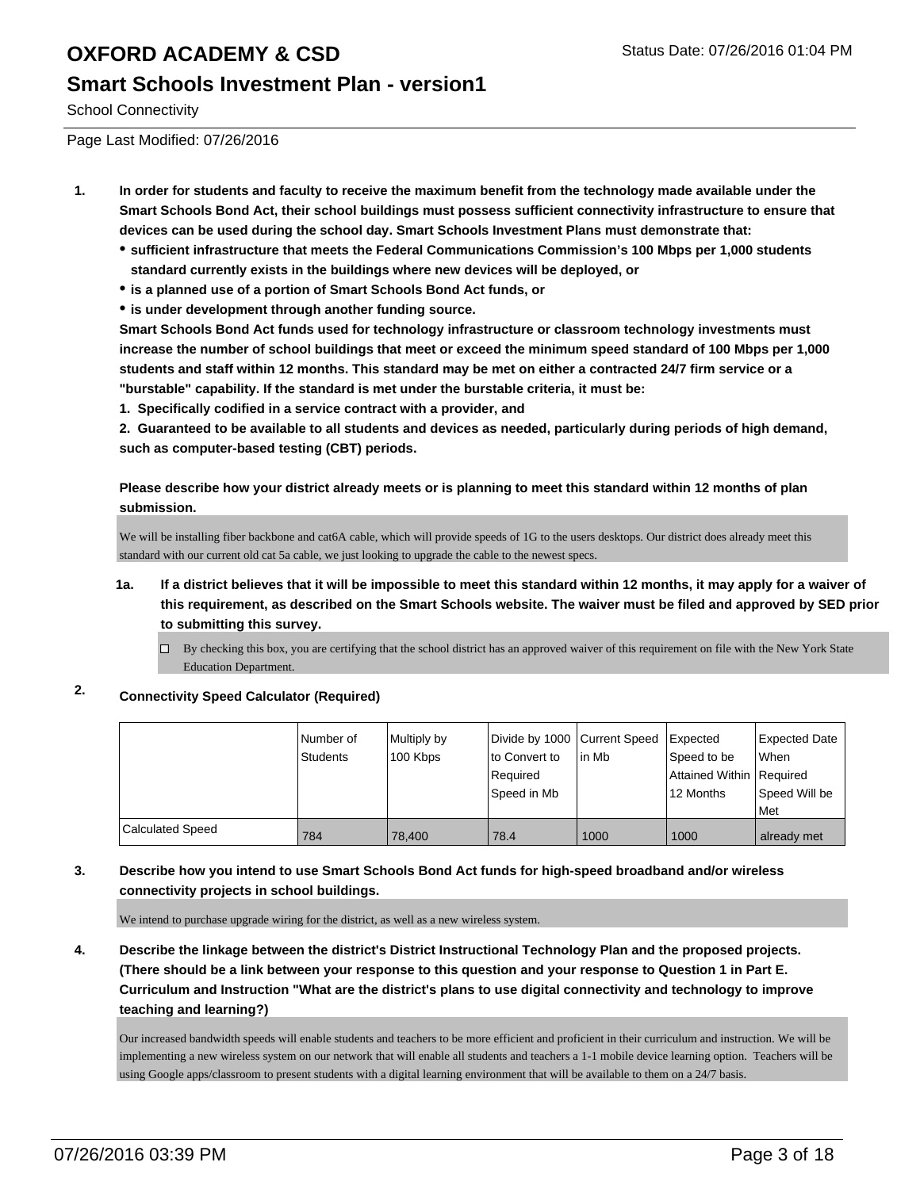### **Smart Schools Investment Plan - version1**

School Connectivity

Page Last Modified: 07/26/2016

- **1. In order for students and faculty to receive the maximum benefit from the technology made available under the Smart Schools Bond Act, their school buildings must possess sufficient connectivity infrastructure to ensure that devices can be used during the school day. Smart Schools Investment Plans must demonstrate that:**
	- **sufficient infrastructure that meets the Federal Communications Commission's 100 Mbps per 1,000 students standard currently exists in the buildings where new devices will be deployed, or**
	- **is a planned use of a portion of Smart Schools Bond Act funds, or**
	- **is under development through another funding source.**

**Smart Schools Bond Act funds used for technology infrastructure or classroom technology investments must increase the number of school buildings that meet or exceed the minimum speed standard of 100 Mbps per 1,000 students and staff within 12 months. This standard may be met on either a contracted 24/7 firm service or a "burstable" capability. If the standard is met under the burstable criteria, it must be:**

**1. Specifically codified in a service contract with a provider, and**

**2. Guaranteed to be available to all students and devices as needed, particularly during periods of high demand, such as computer-based testing (CBT) periods.**

**Please describe how your district already meets or is planning to meet this standard within 12 months of plan submission.**

We will be installing fiber backbone and cat6A cable, which will provide speeds of 1G to the users desktops. Our district does already meet this standard with our current old cat 5a cable, we just looking to upgrade the cable to the newest specs.

- **1a. If a district believes that it will be impossible to meet this standard within 12 months, it may apply for a waiver of this requirement, as described on the Smart Schools website. The waiver must be filed and approved by SED prior to submitting this survey.**
	- $\Box$  By checking this box, you are certifying that the school district has an approved waiver of this requirement on file with the New York State Education Department.

#### **2. Connectivity Speed Calculator (Required)**

|                         | Number of<br><b>Students</b> | Multiply by<br>100 Kbps | Divide by 1000 Current Speed<br>to Convert to<br>Required<br>Speed in Mb | l in Mb | Expected<br>Speed to be<br>Attained Within   Required<br>12 Months | <b>Expected Date</b><br><b>When</b><br>Speed Will be<br>l Met |
|-------------------------|------------------------------|-------------------------|--------------------------------------------------------------------------|---------|--------------------------------------------------------------------|---------------------------------------------------------------|
| <b>Calculated Speed</b> | 784                          | 78.400                  | 78.4                                                                     | 1000    | 1000                                                               | already met                                                   |

#### **3. Describe how you intend to use Smart Schools Bond Act funds for high-speed broadband and/or wireless connectivity projects in school buildings.**

We intend to purchase upgrade wiring for the district, as well as a new wireless system.

**4. Describe the linkage between the district's District Instructional Technology Plan and the proposed projects. (There should be a link between your response to this question and your response to Question 1 in Part E. Curriculum and Instruction "What are the district's plans to use digital connectivity and technology to improve teaching and learning?)**

Our increased bandwidth speeds will enable students and teachers to be more efficient and proficient in their curriculum and instruction. We will be implementing a new wireless system on our network that will enable all students and teachers a 1-1 mobile device learning option. Teachers will be using Google apps/classroom to present students with a digital learning environment that will be available to them on a 24/7 basis.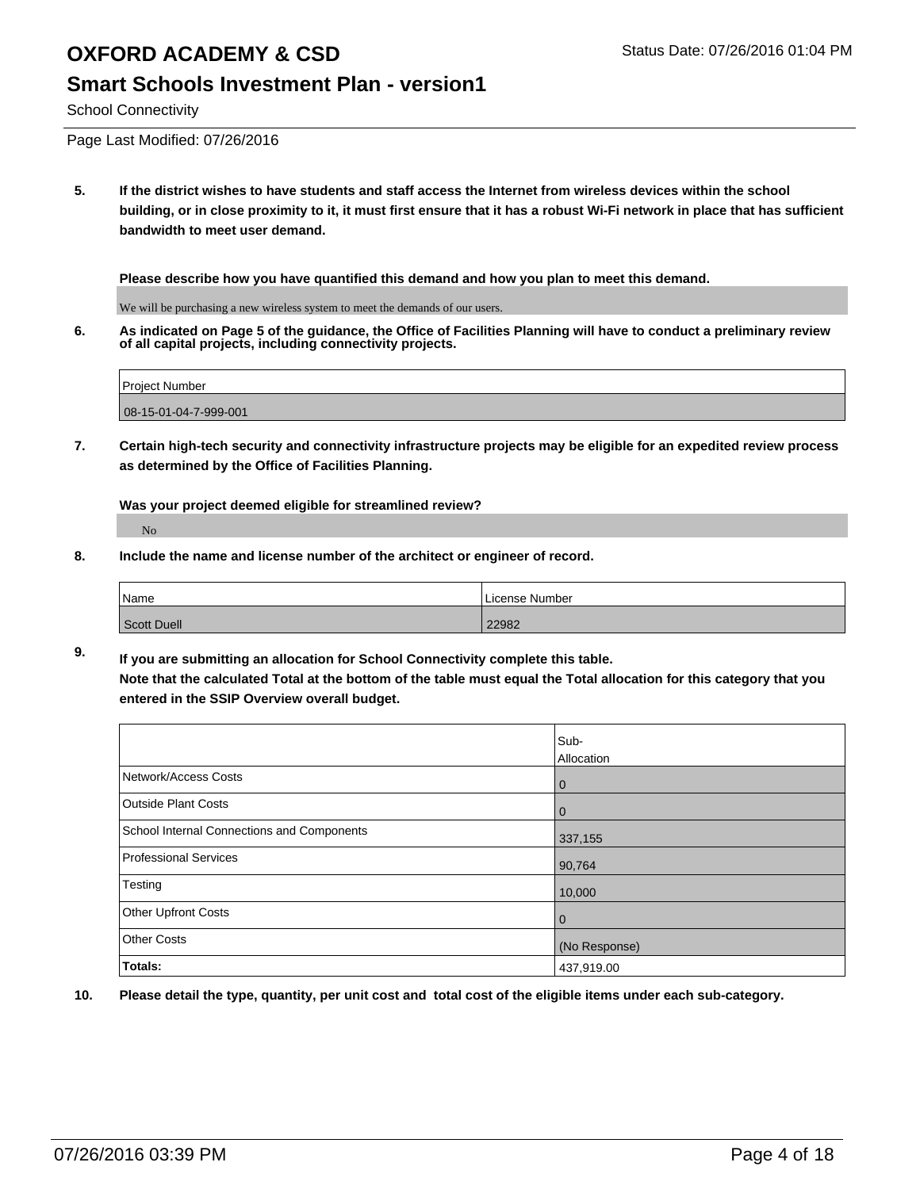### **Smart Schools Investment Plan - version1**

School Connectivity

Page Last Modified: 07/26/2016

**5. If the district wishes to have students and staff access the Internet from wireless devices within the school building, or in close proximity to it, it must first ensure that it has a robust Wi-Fi network in place that has sufficient bandwidth to meet user demand.**

**Please describe how you have quantified this demand and how you plan to meet this demand.**

We will be purchasing a new wireless system to meet the demands of our users.

**6. As indicated on Page 5 of the guidance, the Office of Facilities Planning will have to conduct a preliminary review of all capital projects, including connectivity projects.**

| <b>Project Number</b>    |
|--------------------------|
| $ 08-15-01-04-7-999-001$ |

**7. Certain high-tech security and connectivity infrastructure projects may be eligible for an expedited review process as determined by the Office of Facilities Planning.**

**Was your project deemed eligible for streamlined review?**

No

**8. Include the name and license number of the architect or engineer of record.**

| Name        | License Number |
|-------------|----------------|
| Scott Duell | 22982          |

**9. If you are submitting an allocation for School Connectivity complete this table. Note that the calculated Total at the bottom of the table must equal the Total allocation for this category that you entered in the SSIP Overview overall budget.** 

|                                            | Sub-<br>Allocation |
|--------------------------------------------|--------------------|
| Network/Access Costs                       | 0                  |
| <b>Outside Plant Costs</b>                 | 0                  |
| School Internal Connections and Components | 337,155            |
| Professional Services                      | 90,764             |
| Testing                                    | 10,000             |
| Other Upfront Costs                        | 0                  |
| <b>Other Costs</b>                         | (No Response)      |
| Totals:                                    | 437,919.00         |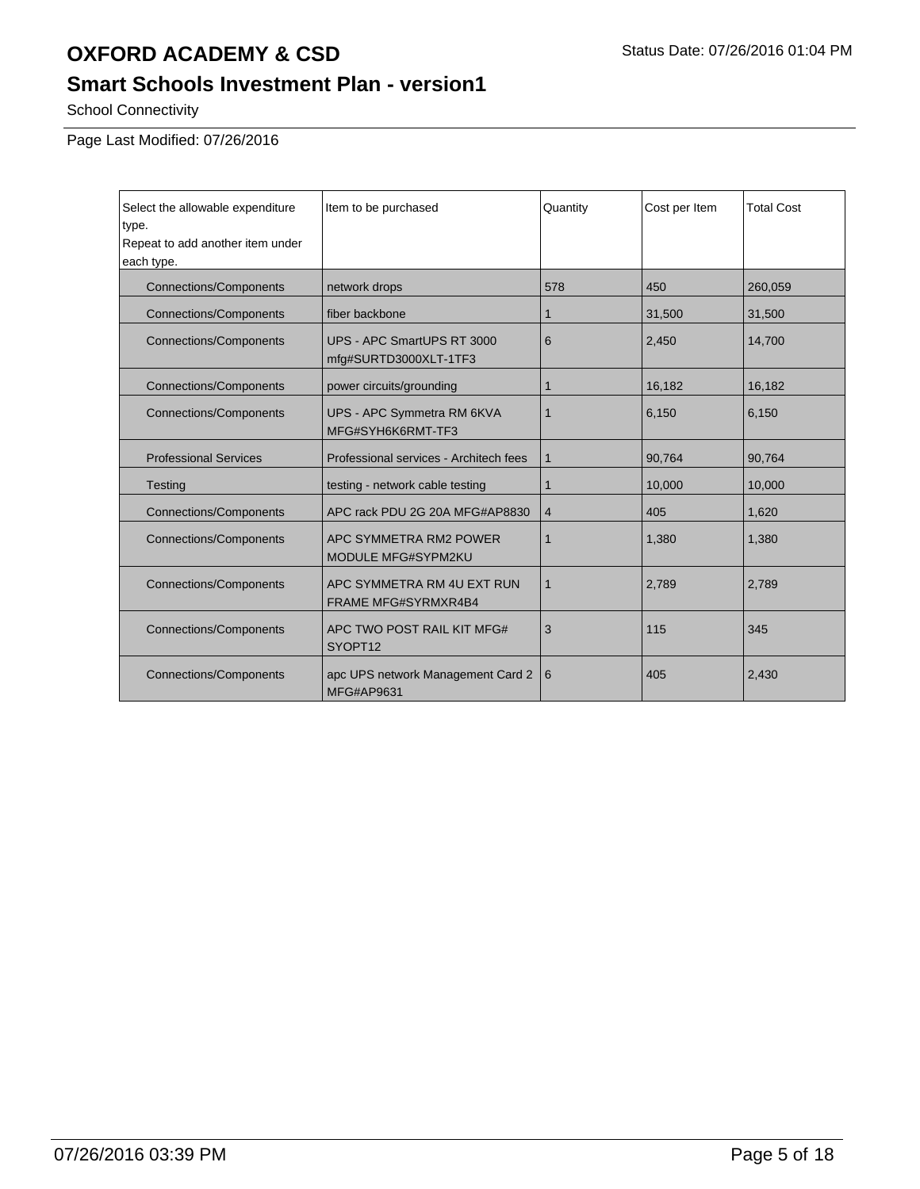## **Smart Schools Investment Plan - version1**

School Connectivity

| Select the allowable expenditure<br>type.<br>Repeat to add another item under<br>each type. | Item to be purchased                                         | Quantity    | Cost per Item | <b>Total Cost</b> |
|---------------------------------------------------------------------------------------------|--------------------------------------------------------------|-------------|---------------|-------------------|
| <b>Connections/Components</b>                                                               | network drops                                                | 578         | 450           | 260,059           |
| <b>Connections/Components</b>                                                               | fiber backbone                                               | 1           | 31,500        | 31,500            |
| <b>Connections/Components</b>                                                               | UPS - APC SmartUPS RT 3000<br>mfg#SURTD3000XLT-1TF3          | 6           | 2,450         | 14,700            |
| <b>Connections/Components</b>                                                               | power circuits/grounding                                     | 1           | 16,182        | 16,182            |
| <b>Connections/Components</b>                                                               | UPS - APC Symmetra RM 6KVA<br>MFG#SYH6K6RMT-TF3              | $\mathbf 1$ | 6,150         | 6,150             |
| <b>Professional Services</b>                                                                | Professional services - Architech fees                       | $\mathbf 1$ | 90,764        | 90,764            |
| <b>Testing</b>                                                                              | testing - network cable testing                              | 1           | 10,000        | 10,000            |
| <b>Connections/Components</b>                                                               | APC rack PDU 2G 20A MFG#AP8830                               | 4           | 405           | 1,620             |
| <b>Connections/Components</b>                                                               | APC SYMMETRA RM2 POWER<br>$\mathbf{1}$<br>MODULE MFG#SYPM2KU |             | 1,380         | 1,380             |
| <b>Connections/Components</b>                                                               | APC SYMMETRA RM 4U EXT RUN<br><b>FRAME MFG#SYRMXR4B4</b>     | 1           | 2,789         | 2,789             |
| <b>Connections/Components</b>                                                               | APC TWO POST RAIL KIT MFG#<br>SYOPT12                        | 3           | 115           | 345               |
| <b>Connections/Components</b>                                                               | apc UPS network Management Card 2<br>MFG#AP9631              | 6           | 405           | 2,430             |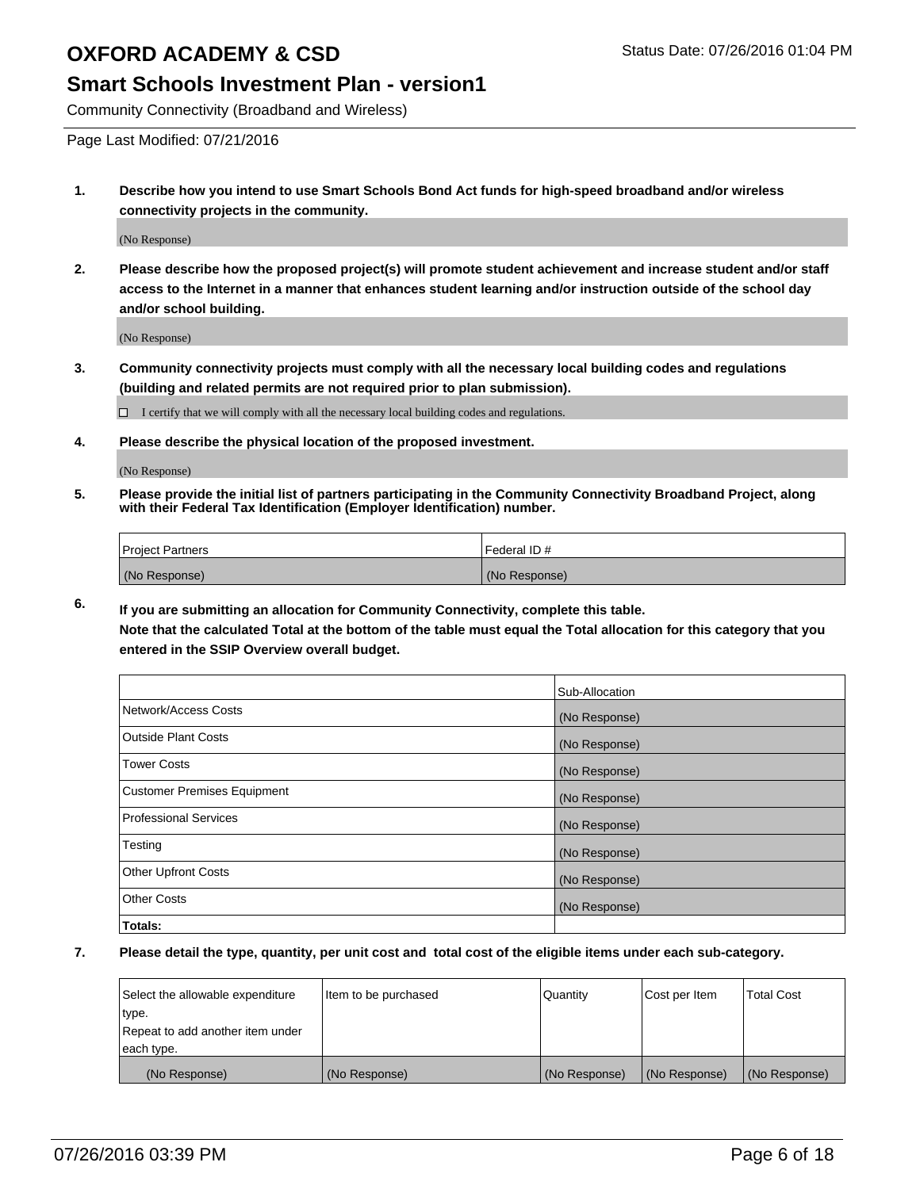### **Smart Schools Investment Plan - version1**

Community Connectivity (Broadband and Wireless)

Page Last Modified: 07/21/2016

**1. Describe how you intend to use Smart Schools Bond Act funds for high-speed broadband and/or wireless connectivity projects in the community.**

(No Response)

**2. Please describe how the proposed project(s) will promote student achievement and increase student and/or staff access to the Internet in a manner that enhances student learning and/or instruction outside of the school day and/or school building.**

(No Response)

**3. Community connectivity projects must comply with all the necessary local building codes and regulations (building and related permits are not required prior to plan submission).**

 $\Box$  I certify that we will comply with all the necessary local building codes and regulations.

**4. Please describe the physical location of the proposed investment.**

(No Response)

**5. Please provide the initial list of partners participating in the Community Connectivity Broadband Project, along with their Federal Tax Identification (Employer Identification) number.**

| Project Partners | I Federal ID # |
|------------------|----------------|
| (No Response)    | (No Response)  |

**6. If you are submitting an allocation for Community Connectivity, complete this table. Note that the calculated Total at the bottom of the table must equal the Total allocation for this category that you**

**entered in the SSIP Overview overall budget.**

|                                    | Sub-Allocation |
|------------------------------------|----------------|
| Network/Access Costs               | (No Response)  |
| <b>Outside Plant Costs</b>         | (No Response)  |
| <b>Tower Costs</b>                 | (No Response)  |
| <b>Customer Premises Equipment</b> | (No Response)  |
| <b>Professional Services</b>       | (No Response)  |
| Testing                            | (No Response)  |
| <b>Other Upfront Costs</b>         | (No Response)  |
| <b>Other Costs</b>                 | (No Response)  |
| Totals:                            |                |

| Select the allowable expenditure | Item to be purchased | Quantity      | Cost per Item | <b>Total Cost</b> |
|----------------------------------|----------------------|---------------|---------------|-------------------|
| type.                            |                      |               |               |                   |
| Repeat to add another item under |                      |               |               |                   |
| each type.                       |                      |               |               |                   |
| (No Response)                    | (No Response)        | (No Response) | (No Response) | (No Response)     |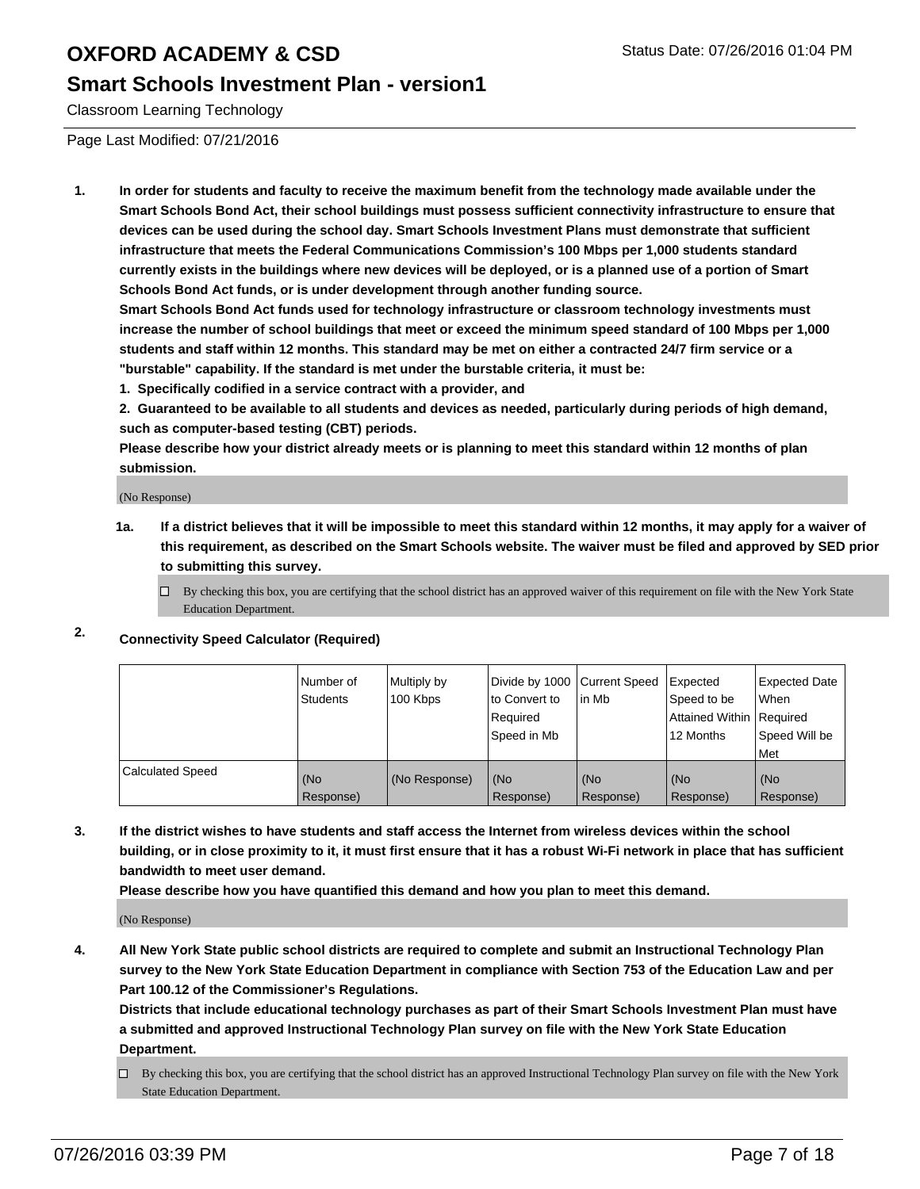### **Smart Schools Investment Plan - version1**

Classroom Learning Technology

Page Last Modified: 07/21/2016

**1. In order for students and faculty to receive the maximum benefit from the technology made available under the Smart Schools Bond Act, their school buildings must possess sufficient connectivity infrastructure to ensure that devices can be used during the school day. Smart Schools Investment Plans must demonstrate that sufficient infrastructure that meets the Federal Communications Commission's 100 Mbps per 1,000 students standard currently exists in the buildings where new devices will be deployed, or is a planned use of a portion of Smart Schools Bond Act funds, or is under development through another funding source.**

**Smart Schools Bond Act funds used for technology infrastructure or classroom technology investments must increase the number of school buildings that meet or exceed the minimum speed standard of 100 Mbps per 1,000 students and staff within 12 months. This standard may be met on either a contracted 24/7 firm service or a "burstable" capability. If the standard is met under the burstable criteria, it must be:**

**1. Specifically codified in a service contract with a provider, and**

**2. Guaranteed to be available to all students and devices as needed, particularly during periods of high demand, such as computer-based testing (CBT) periods.**

**Please describe how your district already meets or is planning to meet this standard within 12 months of plan submission.**

(No Response)

- **1a. If a district believes that it will be impossible to meet this standard within 12 months, it may apply for a waiver of this requirement, as described on the Smart Schools website. The waiver must be filed and approved by SED prior to submitting this survey.**
	- $\Box$  By checking this box, you are certifying that the school district has an approved waiver of this requirement on file with the New York State Education Department.

### **2. Connectivity Speed Calculator (Required)**

|                         | l Number of<br><b>Students</b> | Multiply by<br>100 Kbps | to Convert to<br>l Reauired<br>Speed in Mb | Divide by 1000 Current Speed Expected<br>lin Mb | Speed to be<br>Attained Within Required<br>12 Months | Expected Date<br>l When<br>Speed Will be<br>l Met |
|-------------------------|--------------------------------|-------------------------|--------------------------------------------|-------------------------------------------------|------------------------------------------------------|---------------------------------------------------|
| <b>Calculated Speed</b> | (No<br>Response)               | (No Response)           | (No<br>Response)                           | (No<br>Response)                                | (No<br>Response)                                     | (No<br>Response)                                  |

**3. If the district wishes to have students and staff access the Internet from wireless devices within the school building, or in close proximity to it, it must first ensure that it has a robust Wi-Fi network in place that has sufficient bandwidth to meet user demand.**

**Please describe how you have quantified this demand and how you plan to meet this demand.**

(No Response)

**4. All New York State public school districts are required to complete and submit an Instructional Technology Plan survey to the New York State Education Department in compliance with Section 753 of the Education Law and per Part 100.12 of the Commissioner's Regulations.**

**Districts that include educational technology purchases as part of their Smart Schools Investment Plan must have a submitted and approved Instructional Technology Plan survey on file with the New York State Education Department.**

By checking this box, you are certifying that the school district has an approved Instructional Technology Plan survey on file with the New York State Education Department.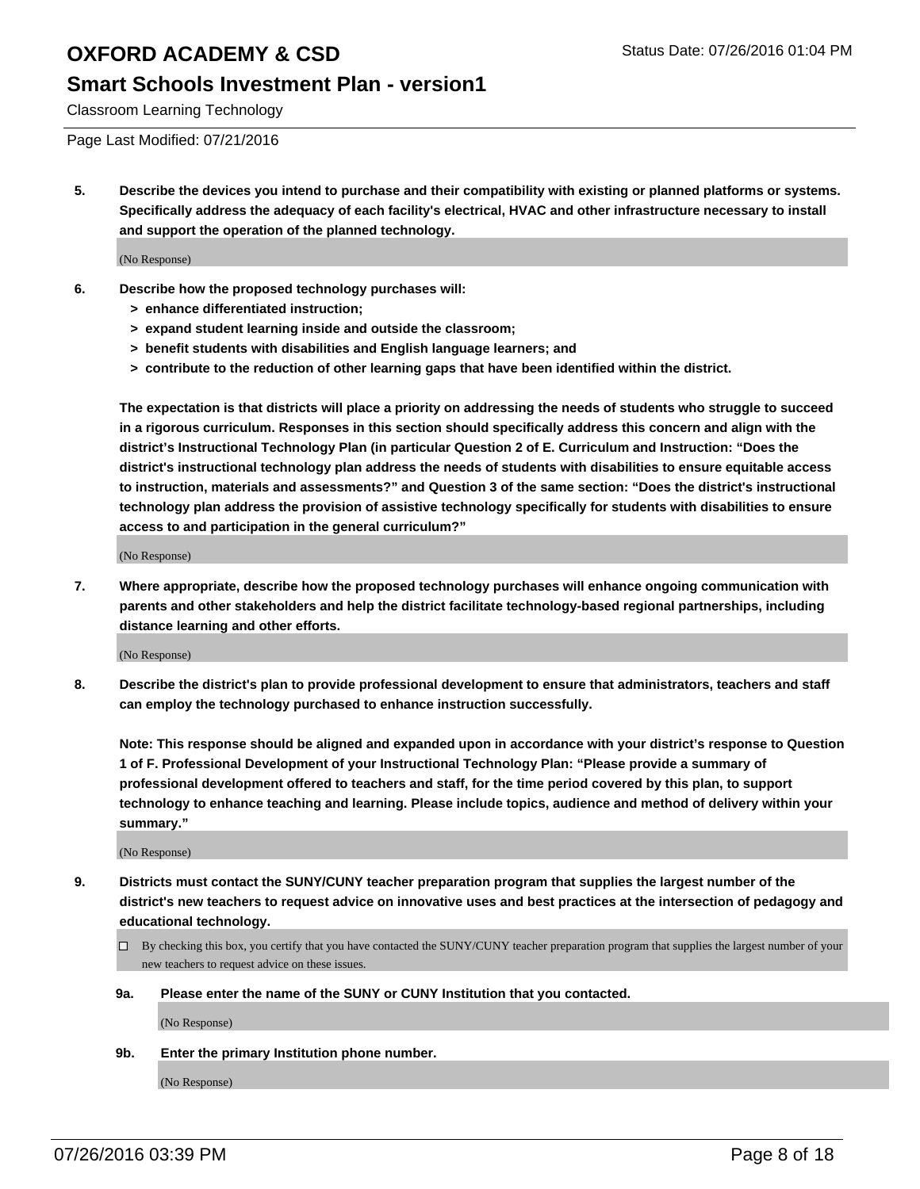#### **Smart Schools Investment Plan - version1**

Classroom Learning Technology

Page Last Modified: 07/21/2016

**5. Describe the devices you intend to purchase and their compatibility with existing or planned platforms or systems. Specifically address the adequacy of each facility's electrical, HVAC and other infrastructure necessary to install and support the operation of the planned technology.**

(No Response)

- **6. Describe how the proposed technology purchases will:**
	- **> enhance differentiated instruction;**
	- **> expand student learning inside and outside the classroom;**
	- **> benefit students with disabilities and English language learners; and**
	- **> contribute to the reduction of other learning gaps that have been identified within the district.**

**The expectation is that districts will place a priority on addressing the needs of students who struggle to succeed in a rigorous curriculum. Responses in this section should specifically address this concern and align with the district's Instructional Technology Plan (in particular Question 2 of E. Curriculum and Instruction: "Does the district's instructional technology plan address the needs of students with disabilities to ensure equitable access to instruction, materials and assessments?" and Question 3 of the same section: "Does the district's instructional technology plan address the provision of assistive technology specifically for students with disabilities to ensure access to and participation in the general curriculum?"**

(No Response)

**7. Where appropriate, describe how the proposed technology purchases will enhance ongoing communication with parents and other stakeholders and help the district facilitate technology-based regional partnerships, including distance learning and other efforts.**

(No Response)

**8. Describe the district's plan to provide professional development to ensure that administrators, teachers and staff can employ the technology purchased to enhance instruction successfully.**

**Note: This response should be aligned and expanded upon in accordance with your district's response to Question 1 of F. Professional Development of your Instructional Technology Plan: "Please provide a summary of professional development offered to teachers and staff, for the time period covered by this plan, to support technology to enhance teaching and learning. Please include topics, audience and method of delivery within your summary."**

(No Response)

- **9. Districts must contact the SUNY/CUNY teacher preparation program that supplies the largest number of the district's new teachers to request advice on innovative uses and best practices at the intersection of pedagogy and educational technology.**
	- $\square$  By checking this box, you certify that you have contacted the SUNY/CUNY teacher preparation program that supplies the largest number of your new teachers to request advice on these issues.
	- **9a. Please enter the name of the SUNY or CUNY Institution that you contacted.**

(No Response)

**9b. Enter the primary Institution phone number.**

(No Response)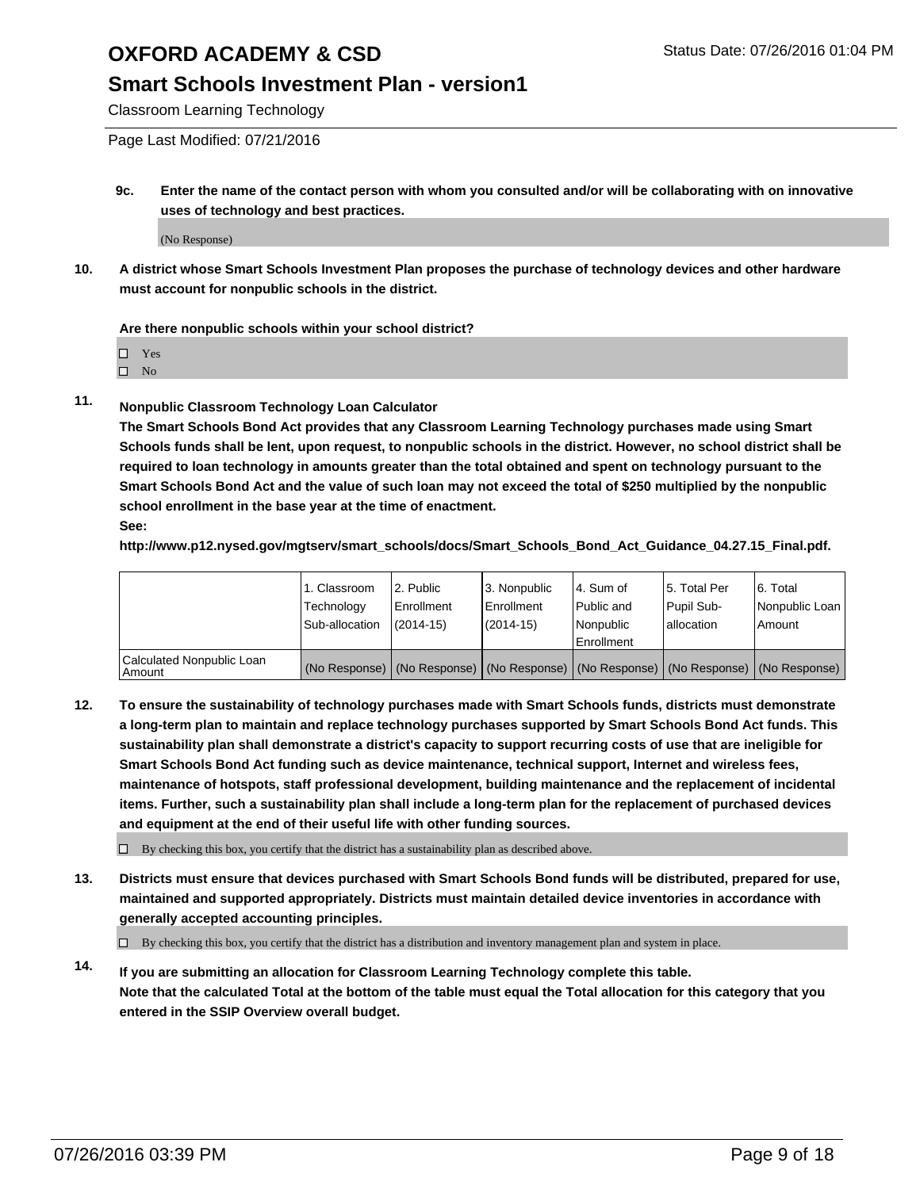#### **Smart Schools Investment Plan - version1**

Classroom Learning Technology

Page Last Modified: 07/21/2016

**9c. Enter the name of the contact person with whom you consulted and/or will be collaborating with on innovative uses of technology and best practices.**

(No Response)

**10. A district whose Smart Schools Investment Plan proposes the purchase of technology devices and other hardware must account for nonpublic schools in the district.**

#### **Are there nonpublic schools within your school district?**

□ Yes

 $\hfill \square$  No

**11. Nonpublic Classroom Technology Loan Calculator**

**The Smart Schools Bond Act provides that any Classroom Learning Technology purchases made using Smart Schools funds shall be lent, upon request, to nonpublic schools in the district. However, no school district shall be required to loan technology in amounts greater than the total obtained and spent on technology pursuant to the Smart Schools Bond Act and the value of such loan may not exceed the total of \$250 multiplied by the nonpublic school enrollment in the base year at the time of enactment. See:**

**http://www.p12.nysed.gov/mgtserv/smart\_schools/docs/Smart\_Schools\_Bond\_Act\_Guidance\_04.27.15\_Final.pdf.**

|                                         | 1. Classroom<br>Technology | 2. Public<br><b>Enrollment</b> | 3. Nonpublic<br>Enrollment                                                                    | l 4. Sum of<br>l Public and | 5. Total Per<br>Pupil Sub- | 6. Total<br>Nonpublic Loan |
|-----------------------------------------|----------------------------|--------------------------------|-----------------------------------------------------------------------------------------------|-----------------------------|----------------------------|----------------------------|
|                                         | Sub-allocation             | $(2014 - 15)$                  | $(2014 - 15)$                                                                                 | Nonpublic<br>Enrollment     | lallocation                | Amount                     |
| Calculated Nonpublic Loan<br>l Amount i |                            |                                | (No Response)   (No Response)   (No Response)   (No Response)   (No Response)   (No Response) |                             |                            |                            |

**12. To ensure the sustainability of technology purchases made with Smart Schools funds, districts must demonstrate a long-term plan to maintain and replace technology purchases supported by Smart Schools Bond Act funds. This sustainability plan shall demonstrate a district's capacity to support recurring costs of use that are ineligible for Smart Schools Bond Act funding such as device maintenance, technical support, Internet and wireless fees, maintenance of hotspots, staff professional development, building maintenance and the replacement of incidental items. Further, such a sustainability plan shall include a long-term plan for the replacement of purchased devices and equipment at the end of their useful life with other funding sources.**

 $\square$  By checking this box, you certify that the district has a sustainability plan as described above.

**13. Districts must ensure that devices purchased with Smart Schools Bond funds will be distributed, prepared for use, maintained and supported appropriately. Districts must maintain detailed device inventories in accordance with generally accepted accounting principles.**

 $\Box$  By checking this box, you certify that the district has a distribution and inventory management plan and system in place.

**14. If you are submitting an allocation for Classroom Learning Technology complete this table. Note that the calculated Total at the bottom of the table must equal the Total allocation for this category that you entered in the SSIP Overview overall budget.**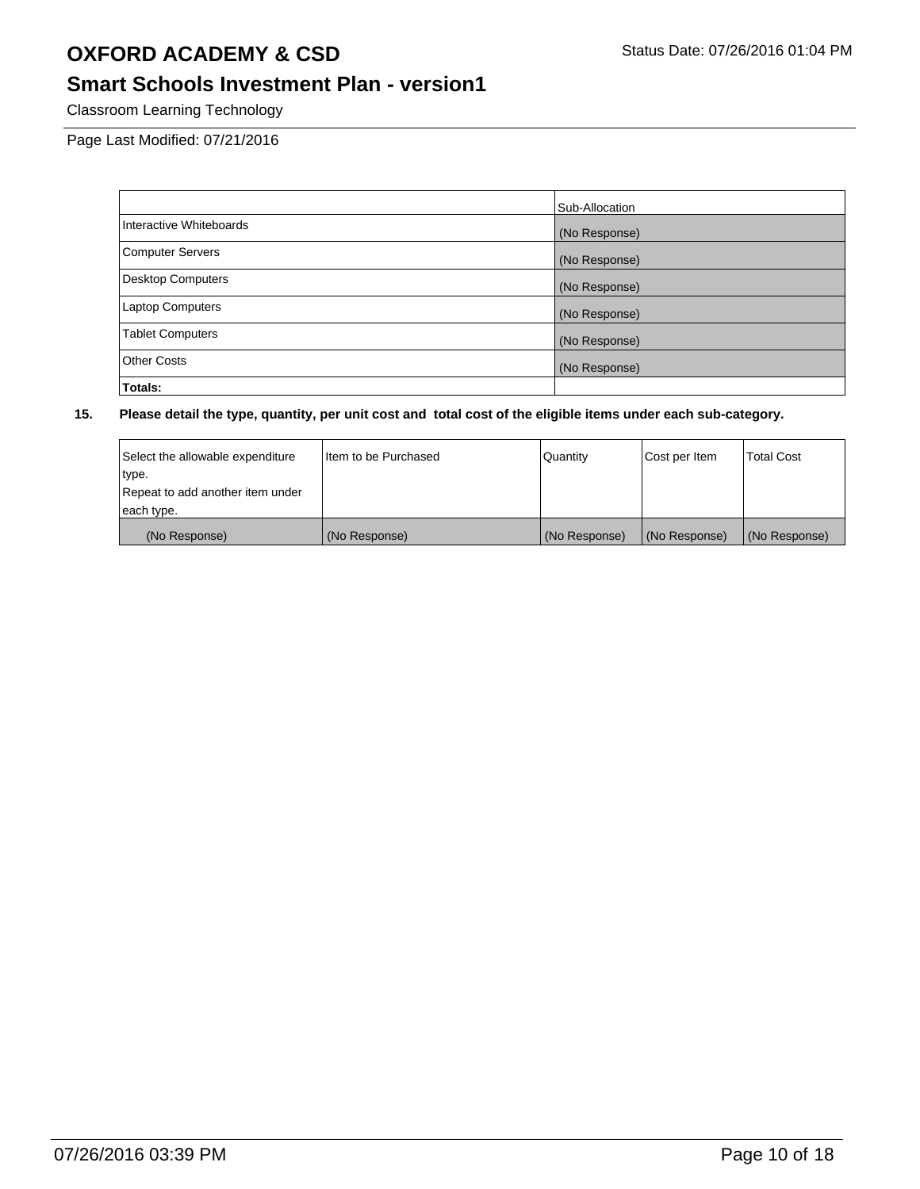### **Smart Schools Investment Plan - version1**

Classroom Learning Technology

Page Last Modified: 07/21/2016

|                          | Sub-Allocation |
|--------------------------|----------------|
| Interactive Whiteboards  | (No Response)  |
| <b>Computer Servers</b>  | (No Response)  |
| <b>Desktop Computers</b> | (No Response)  |
| <b>Laptop Computers</b>  | (No Response)  |
| <b>Tablet Computers</b>  | (No Response)  |
| <b>Other Costs</b>       | (No Response)  |
| Totals:                  |                |

| Select the allowable expenditure | I tem to be Purchased | Quantity      | Cost per Item | <b>Total Cost</b> |
|----------------------------------|-----------------------|---------------|---------------|-------------------|
| type.                            |                       |               |               |                   |
| Repeat to add another item under |                       |               |               |                   |
| each type.                       |                       |               |               |                   |
| (No Response)                    | (No Response)         | (No Response) | (No Response) | (No Response)     |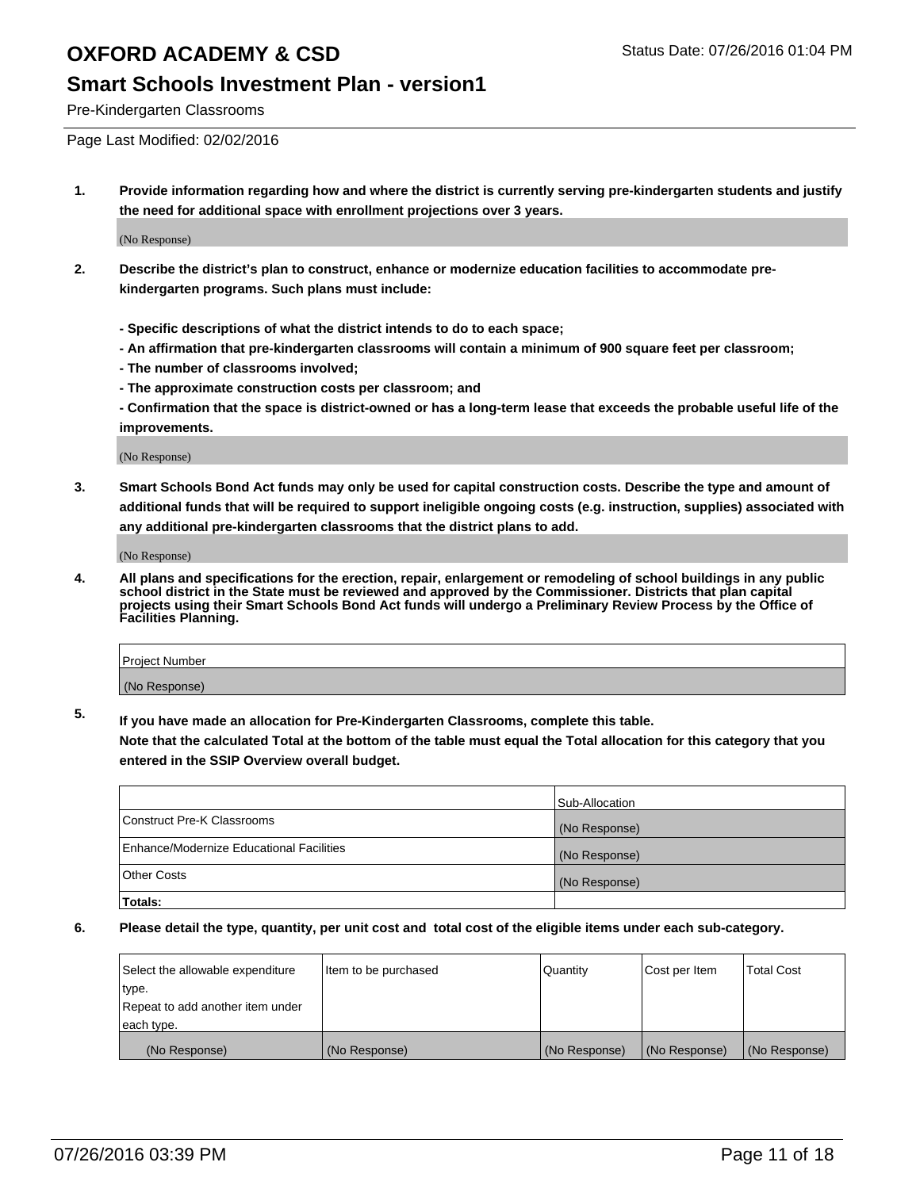#### **Smart Schools Investment Plan - version1**

Pre-Kindergarten Classrooms

Page Last Modified: 02/02/2016

**1. Provide information regarding how and where the district is currently serving pre-kindergarten students and justify the need for additional space with enrollment projections over 3 years.**

(No Response)

- **2. Describe the district's plan to construct, enhance or modernize education facilities to accommodate prekindergarten programs. Such plans must include:**
	- **Specific descriptions of what the district intends to do to each space;**
	- **An affirmation that pre-kindergarten classrooms will contain a minimum of 900 square feet per classroom;**
	- **The number of classrooms involved;**
	- **The approximate construction costs per classroom; and**
	- **Confirmation that the space is district-owned or has a long-term lease that exceeds the probable useful life of the improvements.**

(No Response)

**3. Smart Schools Bond Act funds may only be used for capital construction costs. Describe the type and amount of additional funds that will be required to support ineligible ongoing costs (e.g. instruction, supplies) associated with any additional pre-kindergarten classrooms that the district plans to add.**

(No Response)

**4. All plans and specifications for the erection, repair, enlargement or remodeling of school buildings in any public school district in the State must be reviewed and approved by the Commissioner. Districts that plan capital projects using their Smart Schools Bond Act funds will undergo a Preliminary Review Process by the Office of Facilities Planning.**

| Project Number |  |
|----------------|--|
| (No Response)  |  |

**5. If you have made an allocation for Pre-Kindergarten Classrooms, complete this table.**

**Note that the calculated Total at the bottom of the table must equal the Total allocation for this category that you entered in the SSIP Overview overall budget.**

|                                          | Sub-Allocation |
|------------------------------------------|----------------|
| Construct Pre-K Classrooms               | (No Response)  |
| Enhance/Modernize Educational Facilities | (No Response)  |
| <b>Other Costs</b>                       | (No Response)  |
| Totals:                                  |                |

| Select the allowable expenditure | litem to be purchased | Quantity      | Cost per Item | <b>Total Cost</b> |
|----------------------------------|-----------------------|---------------|---------------|-------------------|
| type.                            |                       |               |               |                   |
| Repeat to add another item under |                       |               |               |                   |
| each type.                       |                       |               |               |                   |
| (No Response)                    | (No Response)         | (No Response) | (No Response) | (No Response)     |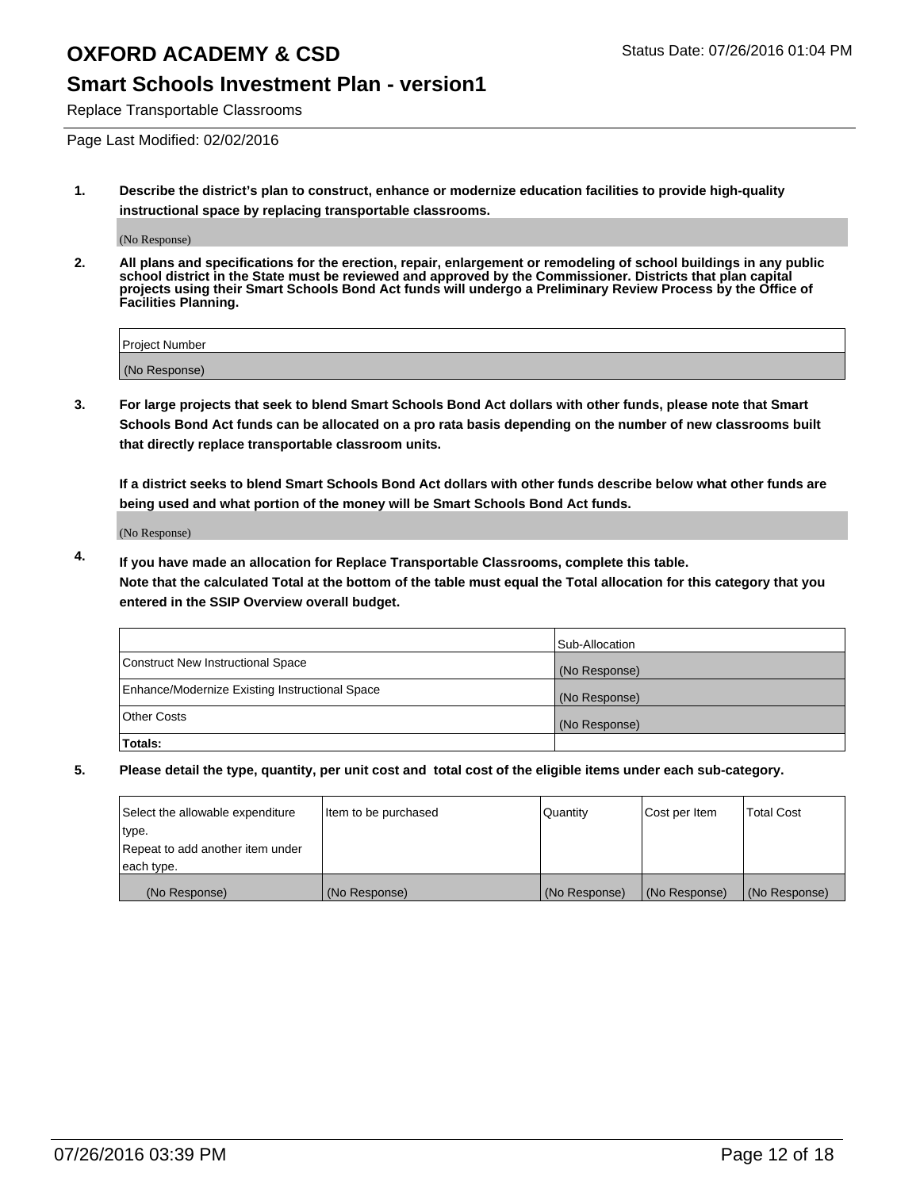### **Smart Schools Investment Plan - version1**

Replace Transportable Classrooms

Page Last Modified: 02/02/2016

**1. Describe the district's plan to construct, enhance or modernize education facilities to provide high-quality instructional space by replacing transportable classrooms.**

(No Response)

**2. All plans and specifications for the erection, repair, enlargement or remodeling of school buildings in any public school district in the State must be reviewed and approved by the Commissioner. Districts that plan capital projects using their Smart Schools Bond Act funds will undergo a Preliminary Review Process by the Office of Facilities Planning.**

| <b>Project Number</b> |  |
|-----------------------|--|
| (No Response)         |  |

**3. For large projects that seek to blend Smart Schools Bond Act dollars with other funds, please note that Smart Schools Bond Act funds can be allocated on a pro rata basis depending on the number of new classrooms built that directly replace transportable classroom units.**

**If a district seeks to blend Smart Schools Bond Act dollars with other funds describe below what other funds are being used and what portion of the money will be Smart Schools Bond Act funds.**

(No Response)

**4. If you have made an allocation for Replace Transportable Classrooms, complete this table. Note that the calculated Total at the bottom of the table must equal the Total allocation for this category that you entered in the SSIP Overview overall budget.**

|                                                | Sub-Allocation |
|------------------------------------------------|----------------|
| Construct New Instructional Space              | (No Response)  |
| Enhance/Modernize Existing Instructional Space | (No Response)  |
| Other Costs                                    | (No Response)  |
| Totals:                                        |                |

| Select the allowable expenditure | Item to be purchased | Quantity      | Cost per Item | <b>Total Cost</b> |
|----------------------------------|----------------------|---------------|---------------|-------------------|
| type.                            |                      |               |               |                   |
| Repeat to add another item under |                      |               |               |                   |
| each type.                       |                      |               |               |                   |
| (No Response)                    | (No Response)        | (No Response) | (No Response) | (No Response)     |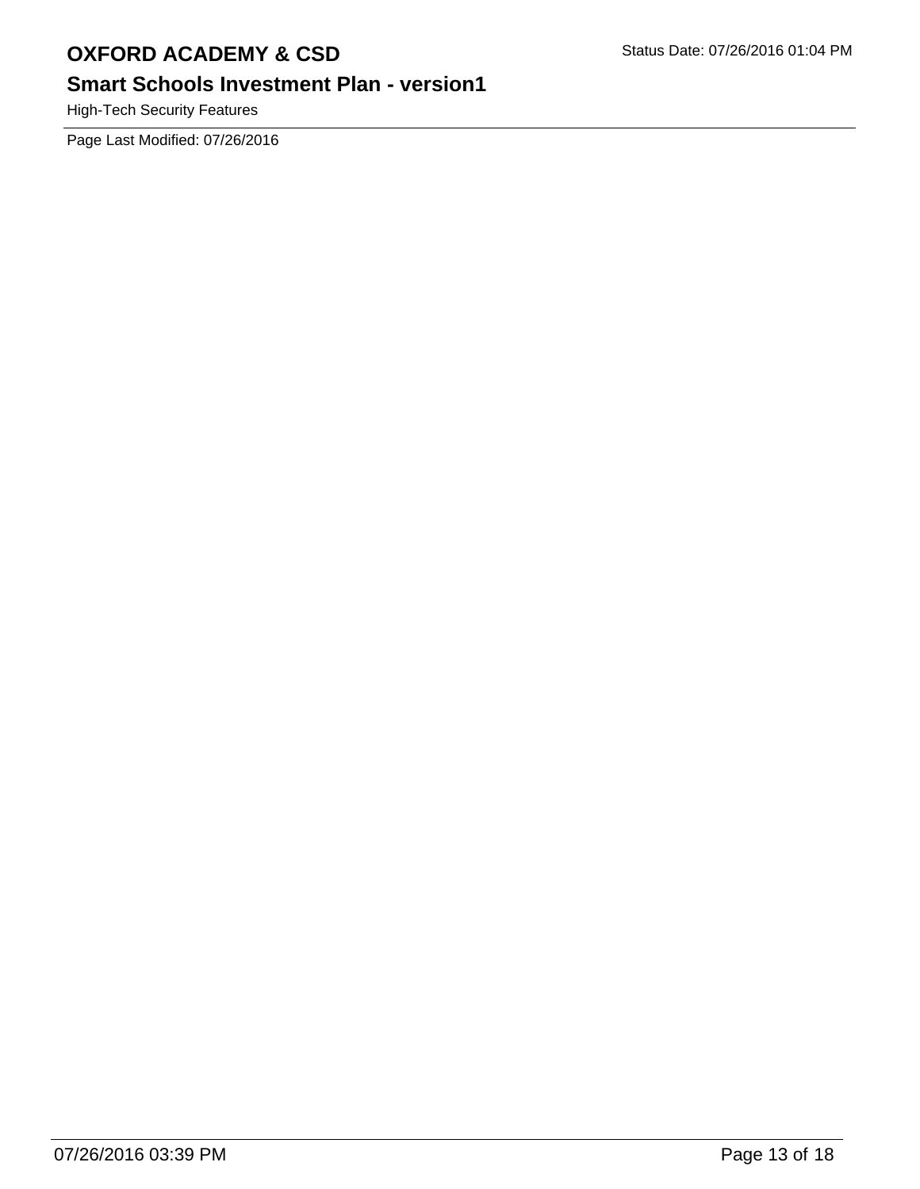## **Smart Schools Investment Plan - version1**

High-Tech Security Features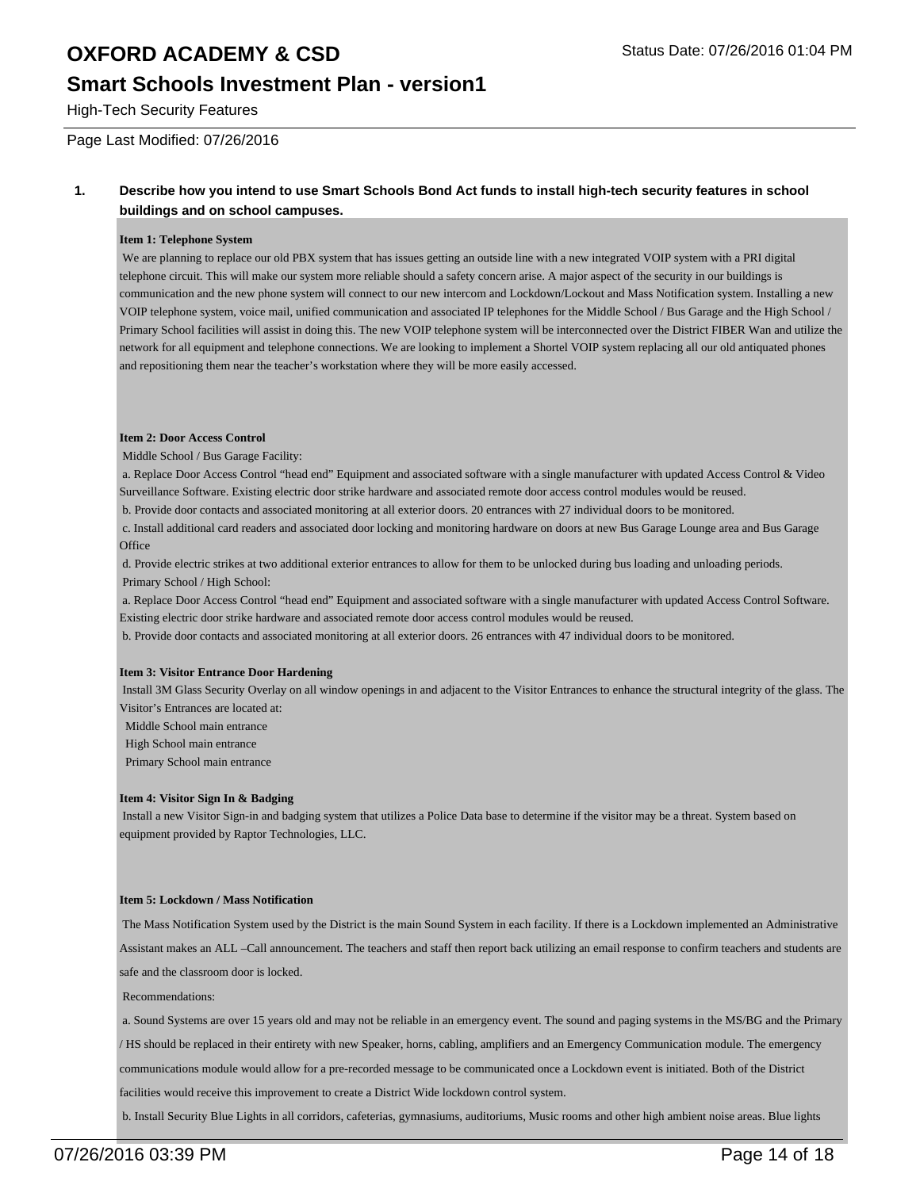### **Smart Schools Investment Plan - version1**

High-Tech Security Features

Page Last Modified: 07/26/2016

#### **1. Describe how you intend to use Smart Schools Bond Act funds to install high-tech security features in school buildings and on school campuses.**

#### **Item 1: Telephone System**

We are planning to replace our old PBX system that has issues getting an outside line with a new integrated VOIP system with a PRI digital telephone circuit. This will make our system more reliable should a safety concern arise. A major aspect of the security in our buildings is communication and the new phone system will connect to our new intercom and Lockdown/Lockout and Mass Notification system. Installing a new VOIP telephone system, voice mail, unified communication and associated IP telephones for the Middle School / Bus Garage and the High School / Primary School facilities will assist in doing this. The new VOIP telephone system will be interconnected over the District FIBER Wan and utilize the network for all equipment and telephone connections. We are looking to implement a Shortel VOIP system replacing all our old antiquated phones and repositioning them near the teacher's workstation where they will be more easily accessed.

#### **Item 2: Door Access Control**

Middle School / Bus Garage Facility:

 a. Replace Door Access Control "head end" Equipment and associated software with a single manufacturer with updated Access Control & Video Surveillance Software. Existing electric door strike hardware and associated remote door access control modules would be reused.

b. Provide door contacts and associated monitoring at all exterior doors. 20 entrances with 27 individual doors to be monitored.

 c. Install additional card readers and associated door locking and monitoring hardware on doors at new Bus Garage Lounge area and Bus Garage **Office** 

 d. Provide electric strikes at two additional exterior entrances to allow for them to be unlocked during bus loading and unloading periods. Primary School / High School:

 a. Replace Door Access Control "head end" Equipment and associated software with a single manufacturer with updated Access Control Software. Existing electric door strike hardware and associated remote door access control modules would be reused.

b. Provide door contacts and associated monitoring at all exterior doors. 26 entrances with 47 individual doors to be monitored.

#### **Item 3: Visitor Entrance Door Hardening**

 Install 3M Glass Security Overlay on all window openings in and adjacent to the Visitor Entrances to enhance the structural integrity of the glass. The Visitor's Entrances are located at:

Middle School main entrance

High School main entrance

Primary School main entrance

#### **Item 4: Visitor Sign In & Badging**

 Install a new Visitor Sign-in and badging system that utilizes a Police Data base to determine if the visitor may be a threat. System based on equipment provided by Raptor Technologies, LLC.

#### **Item 5: Lockdown / Mass Notification**

 The Mass Notification System used by the District is the main Sound System in each facility. If there is a Lockdown implemented an Administrative Assistant makes an ALL –Call announcement. The teachers and staff then report back utilizing an email response to confirm teachers and students are safe and the classroom door is locked.

Recommendations:

a. Sound Systems are over 15 years old and may not be reliable in an emergency event. The sound and paging systems in the MS/BG and the Primary

/ HS should be replaced in their entirety with new Speaker, horns, cabling, amplifiers and an Emergency Communication module. The emergency

communications module would allow for a pre-recorded message to be communicated once a Lockdown event is initiated. Both of the District

facilities would receive this improvement to create a District Wide lockdown control system.

b. Install Security Blue Lights in all corridors, cafeterias, gymnasiums, auditoriums, Music rooms and other high ambient noise areas. Blue lights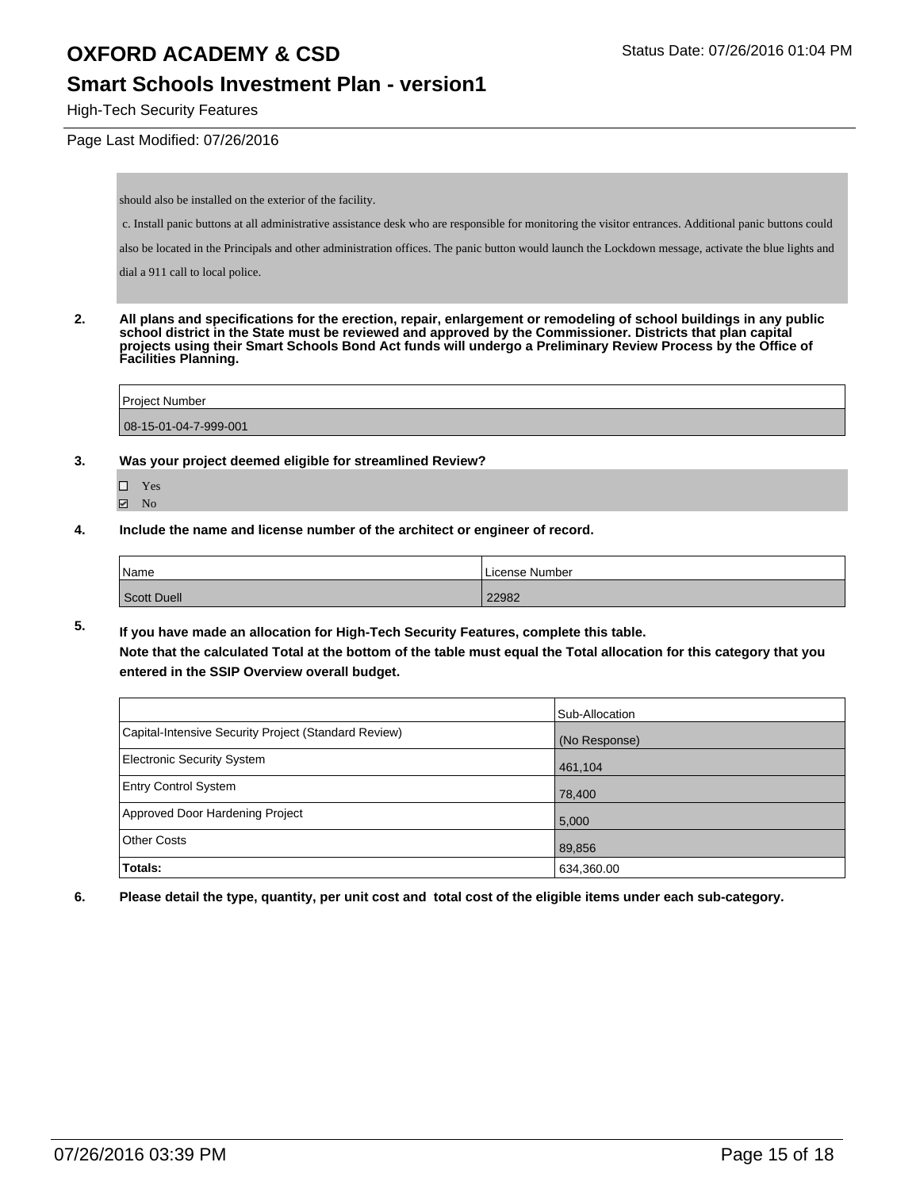### **Smart Schools Investment Plan - version1**

High-Tech Security Features

#### Page Last Modified: 07/26/2016

should also be installed on the exterior of the facility.

c. Install panic buttons at all administrative assistance desk who are responsible for monitoring the visitor entrances. Additional panic buttons could

also be located in the Principals and other administration offices. The panic button would launch the Lockdown message, activate the blue lights and

dial a 911 call to local police.

**2. All plans and specifications for the erection, repair, enlargement or remodeling of school buildings in any public school district in the State must be reviewed and approved by the Commissioner. Districts that plan capital projects using their Smart Schools Bond Act funds will undergo a Preliminary Review Process by the Office of Facilities Planning.** 

| <b>Project Number</b>     |  |  |
|---------------------------|--|--|
|                           |  |  |
| $ 08-15-01-04-7-999-001 $ |  |  |

- **3. Was your project deemed eligible for streamlined Review?**
	- Yes **Ø** No
- **4. Include the name and license number of the architect or engineer of record.**

| Name               | License Number |
|--------------------|----------------|
| <b>Scott Duell</b> | 22982          |

**5. If you have made an allocation for High-Tech Security Features, complete this table. Note that the calculated Total at the bottom of the table must equal the Total allocation for this category that you entered in the SSIP Overview overall budget.**

|                                                      | Sub-Allocation |
|------------------------------------------------------|----------------|
| Capital-Intensive Security Project (Standard Review) | (No Response)  |
| <b>Electronic Security System</b>                    | 461,104        |
| <b>Entry Control System</b>                          | 78,400         |
| Approved Door Hardening Project                      | 5,000          |
| <b>Other Costs</b>                                   | 89,856         |
| Totals:                                              | 634,360.00     |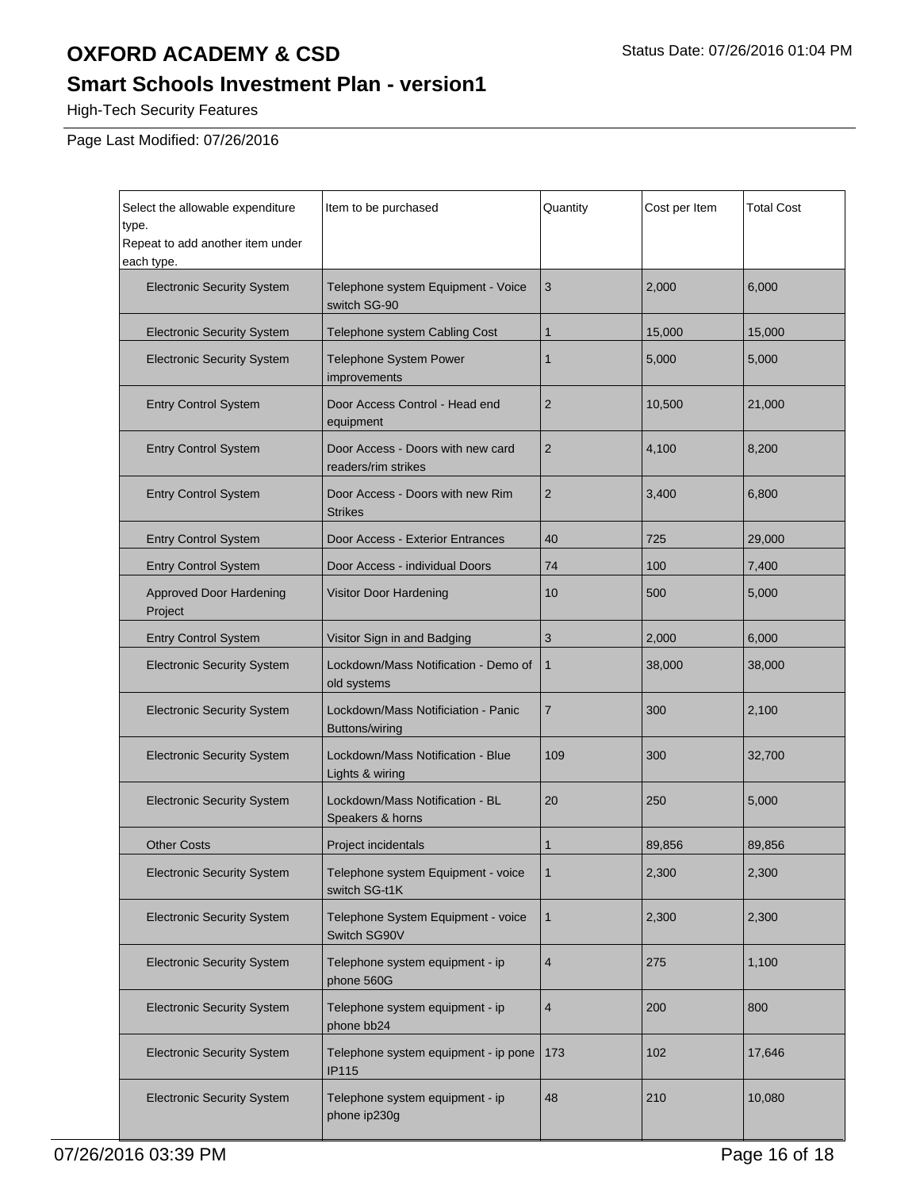## **Smart Schools Investment Plan - version1**

High-Tech Security Features

| Select the allowable expenditure<br>type.<br>Repeat to add another item under<br>each type. | Item to be purchased                                     | Quantity       | Cost per Item | <b>Total Cost</b> |
|---------------------------------------------------------------------------------------------|----------------------------------------------------------|----------------|---------------|-------------------|
| <b>Electronic Security System</b>                                                           | Telephone system Equipment - Voice<br>switch SG-90       | 3              | 2,000         | 6,000             |
| <b>Electronic Security System</b>                                                           | Telephone system Cabling Cost                            | $\mathbf{1}$   | 15,000        | 15,000            |
| <b>Electronic Security System</b>                                                           | Telephone System Power<br>improvements                   | 1              | 5,000         | 5,000             |
| <b>Entry Control System</b>                                                                 | Door Access Control - Head end<br>equipment              | $\overline{2}$ | 10,500        | 21,000            |
| <b>Entry Control System</b>                                                                 | Door Access - Doors with new card<br>readers/rim strikes | $\overline{2}$ | 4,100         | 8,200             |
| <b>Entry Control System</b>                                                                 | Door Access - Doors with new Rim<br><b>Strikes</b>       | $\overline{2}$ | 3,400         | 6,800             |
| <b>Entry Control System</b>                                                                 | Door Access - Exterior Entrances                         | 40             | 725           | 29,000            |
| <b>Entry Control System</b>                                                                 | Door Access - individual Doors                           | 74             | 100           | 7,400             |
| <b>Approved Door Hardening</b><br>Project                                                   | Visitor Door Hardening                                   | 10             | 500           | 5,000             |
| <b>Entry Control System</b>                                                                 | Visitor Sign in and Badging                              | 3              | 2,000         | 6,000             |
| <b>Electronic Security System</b>                                                           | Lockdown/Mass Notification - Demo of<br>old systems      | $\mathbf{1}$   | 38,000        | 38,000            |
| <b>Electronic Security System</b>                                                           | Lockdown/Mass Notificiation - Panic<br>Buttons/wiring    | $\overline{7}$ | 300           | 2,100             |
| <b>Electronic Security System</b>                                                           | Lockdown/Mass Notification - Blue<br>Lights & wiring     | 109            | 300           | 32,700            |
| <b>Electronic Security System</b>                                                           | Lockdown/Mass Notification - BL<br>Speakers & horns      | 20             | 250           | 5,000             |
| <b>Other Costs</b>                                                                          | Project incidentals                                      | 1              | 89,856        | 89,856            |
| <b>Electronic Security System</b>                                                           | Telephone system Equipment - voice<br>switch SG-t1K      | $\mathbf{1}$   | 2,300         | 2,300             |
| <b>Electronic Security System</b>                                                           | Telephone System Equipment - voice<br>Switch SG90V       | $\mathbf{1}$   | 2,300         | 2,300             |
| <b>Electronic Security System</b>                                                           | Telephone system equipment - ip<br>phone 560G            | 4              | 275           | 1,100             |
| <b>Electronic Security System</b>                                                           | Telephone system equipment - ip<br>phone bb24            | 4              | 200           | 800               |
| <b>Electronic Security System</b>                                                           | Telephone system equipment - ip pone<br><b>IP115</b>     | 173            | 102           | 17,646            |
| <b>Electronic Security System</b>                                                           | Telephone system equipment - ip<br>phone ip230g          | 48             | 210           | 10,080            |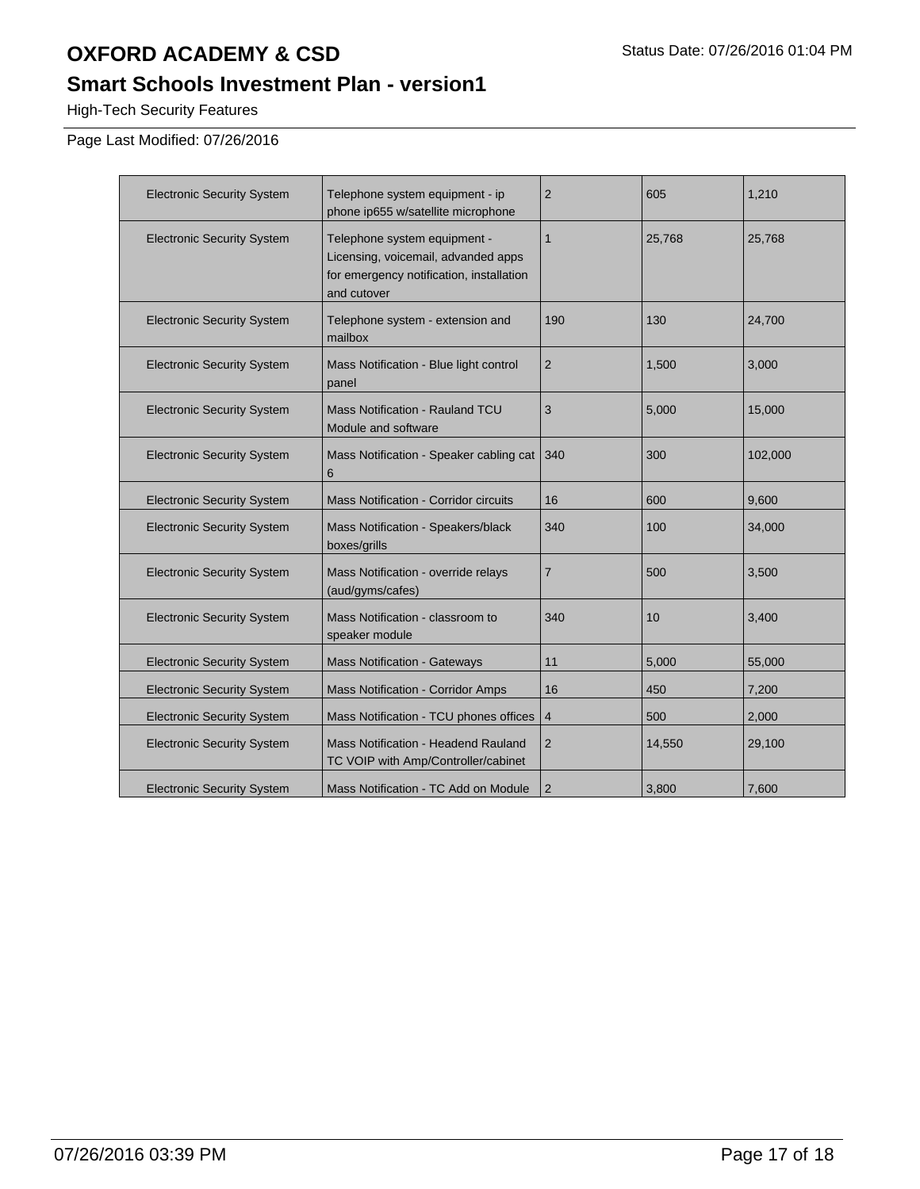## **Smart Schools Investment Plan - version1**

High-Tech Security Features

| <b>Electronic Security System</b> | Telephone system equipment - ip<br>phone ip655 w/satellite microphone                                                          | $\overline{2}$ | 605    | 1,210   |
|-----------------------------------|--------------------------------------------------------------------------------------------------------------------------------|----------------|--------|---------|
| <b>Electronic Security System</b> | Telephone system equipment -<br>Licensing, voicemail, advanded apps<br>for emergency notification, installation<br>and cutover | 1              | 25,768 | 25,768  |
| <b>Electronic Security System</b> | Telephone system - extension and<br>mailbox                                                                                    | 190            | 130    | 24,700  |
| <b>Electronic Security System</b> | Mass Notification - Blue light control<br>panel                                                                                | $\overline{2}$ | 1,500  | 3,000   |
| <b>Electronic Security System</b> | Mass Notification - Rauland TCU<br>Module and software                                                                         | 3              | 5,000  | 15,000  |
| <b>Electronic Security System</b> | Mass Notification - Speaker cabling cat<br>6                                                                                   | 340            | 300    | 102,000 |
| <b>Electronic Security System</b> | Mass Notification - Corridor circuits                                                                                          | 16             | 600    | 9,600   |
| <b>Electronic Security System</b> | Mass Notification - Speakers/black<br>boxes/grills                                                                             | 340            | 100    | 34,000  |
| <b>Electronic Security System</b> | Mass Notification - override relays<br>(aud/gyms/cafes)                                                                        | 7              | 500    | 3,500   |
| <b>Electronic Security System</b> | Mass Notification - classroom to<br>speaker module                                                                             | 340            | 10     | 3,400   |
| <b>Electronic Security System</b> | <b>Mass Notification - Gateways</b>                                                                                            | 11             | 5,000  | 55,000  |
| <b>Electronic Security System</b> | <b>Mass Notification - Corridor Amps</b>                                                                                       | 16             | 450    | 7,200   |
| <b>Electronic Security System</b> | Mass Notification - TCU phones offices                                                                                         | $\overline{4}$ | 500    | 2,000   |
| <b>Electronic Security System</b> | Mass Notification - Headend Rauland<br>TC VOIP with Amp/Controller/cabinet                                                     | $\overline{2}$ | 14,550 | 29,100  |
| <b>Electronic Security System</b> | Mass Notification - TC Add on Module                                                                                           | $\overline{2}$ | 3,800  | 7,600   |